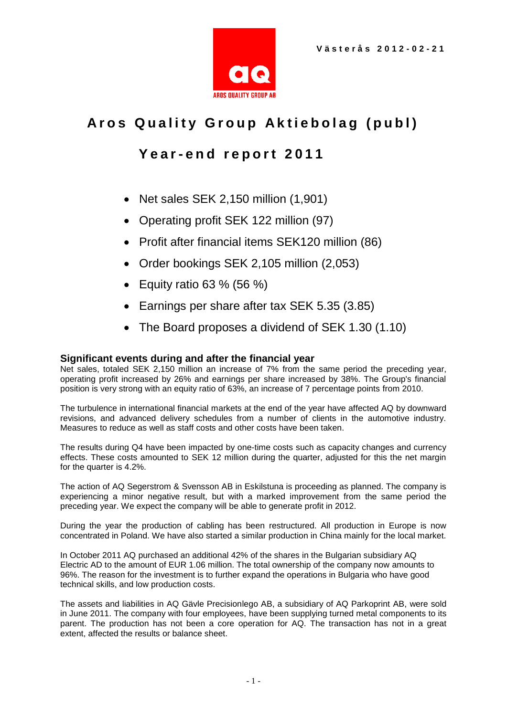

# Aros Quality Group Aktiebolag (publ)

# **Y e a r - e n d r e p o r t 2 0 1 1**

- Net sales SEK 2,150 million (1,901)
- Operating profit SEK 122 million (97)
- Profit after financial items SEK120 million (86)
- Order bookings SEK 2,105 million (2,053)
- Equity ratio 63 % (56 %)
- Earnings per share after tax SEK 5.35 (3.85)
- The Board proposes a dividend of SEK 1.30 (1.10)

### **Significant events during and after the financial year**

Net sales, totaled SEK 2,150 million an increase of 7% from the same period the preceding year, operating profit increased by 26% and earnings per share increased by 38%. The Group's financial position is very strong with an equity ratio of 63%, an increase of 7 percentage points from 2010.

The turbulence in international financial markets at the end of the year have affected AQ by downward revisions, and advanced delivery schedules from a number of clients in the automotive industry. Measures to reduce as well as staff costs and other costs have been taken.

The results during Q4 have been impacted by one-time costs such as capacity changes and currency effects. These costs amounted to SEK 12 million during the quarter, adjusted for this the net margin for the quarter is 4.2%.

The action of AQ Segerstrom & Svensson AB in Eskilstuna is proceeding as planned. The company is experiencing a minor negative result, but with a marked improvement from the same period the preceding year. We expect the company will be able to generate profit in 2012.

During the year the production of cabling has been restructured. All production in Europe is now concentrated in Poland. We have also started a similar production in China mainly for the local market.

In October 2011 AQ purchased an additional 42% of the shares in the Bulgarian subsidiary AQ Electric AD to the amount of EUR 1.06 million. The total ownership of the company now amounts to 96%. The reason for the investment is to further expand the operations in Bulgaria who have good technical skills, and low production costs.

The assets and liabilities in AQ Gävle Precisionlego AB, a subsidiary of AQ Parkoprint AB, were sold in June 2011. The company with four employees, have been supplying turned metal components to its parent. The production has not been a core operation for AQ. The transaction has not in a great extent, affected the results or balance sheet.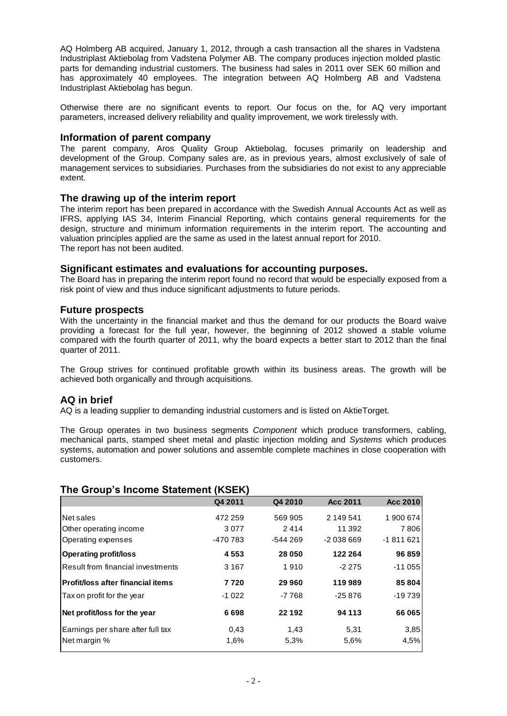AQ Holmberg AB acquired, January 1, 2012, through a cash transaction all the shares in Vadstena Industriplast Aktiebolag from Vadstena Polymer AB. The company produces injection molded plastic parts for demanding industrial customers. The business had sales in 2011 over SEK 60 million and has approximately 40 employees. The integration between AQ Holmberg AB and Vadstena Industriplast Aktiebolag has begun.

Otherwise there are no significant events to report. Our focus on the, for AQ very important parameters, increased delivery reliability and quality improvement, we work tirelessly with.

#### **Information of parent company**

The parent company, Aros Quality Group Aktiebolag, focuses primarily on leadership and development of the Group. Company sales are, as in previous years, almost exclusively of sale of management services to subsidiaries. Purchases from the subsidiaries do not exist to any appreciable extent.

#### **The drawing up of the interim report**

The interim report has been prepared in accordance with the Swedish Annual Accounts Act as well as IFRS, applying IAS 34, Interim Financial Reporting, which contains general requirements for the design, structure and minimum information requirements in the interim report. The accounting and valuation principles applied are the same as used in the latest annual report for 2010. The report has not been audited.

#### **Significant estimates and evaluations for accounting purposes.**

The Board has in preparing the interim report found no record that would be especially exposed from a risk point of view and thus induce significant adjustments to future periods.

#### **Future prospects**

With the uncertainty in the financial market and thus the demand for our products the Board waive providing a forecast for the full year, however, the beginning of 2012 showed a stable volume compared with the fourth quarter of 2011, why the board expects a better start to 2012 than the final quarter of 2011.

The Group strives for continued profitable growth within its business areas. The growth will be achieved both organically and through acquisitions.

### **AQ in brief**

AQ is a leading supplier to demanding industrial customers and is listed on AktieTorget.

The Group operates in two business segments *Component* which produce transformers, cabling, mechanical parts, stamped sheet metal and plastic injection molding and *Systems* which produces systems, automation and power solutions and assemble complete machines in close cooperation with customers.

### **The Group's Income Statement (KSEK)**

| Q4 2011  | Q4 2010   | <b>Acc 2011</b> | Acc 2010   |
|----------|-----------|-----------------|------------|
| 472 259  | 569 905   | 2 149 541       | 1900674    |
| 3077     | 2414      | 11 392          | 7806       |
| -470 783 | $-544269$ | $-2038669$      | $-1811621$ |
| 4553     | 28 050    | 122 264         | 96 859     |
| 3 1 6 7  | 1910      | $-2275$         | $-11055$   |
| 7720     | 29 960    | 119989          | 85 804     |
| $-1022$  | -7 768    | $-25876$        | $-19739$   |
| 6698     | 22 192    | 94 113          | 66 065     |
| 0.43     | 1,43      | 5,31            | 3,85       |
| 1,6%     | 5,3%      | 5,6%            | 4,5%       |
|          |           |                 |            |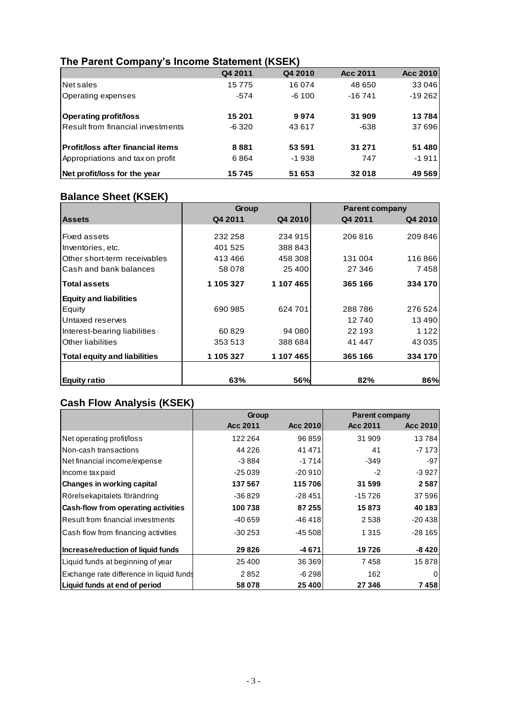| THE F GIGHT OUTINGITY 3 THEOTHE ORIGINAL (TOLITY | Q4 2011 | Q4 2010 | <b>Acc 2011</b> | <b>Acc 2010</b> |
|--------------------------------------------------|---------|---------|-----------------|-----------------|
| Net sales                                        | 15775   | 16 074  | 48 650          | 33 046          |
| <b>Operating expenses</b>                        | $-574$  | $-6100$ | $-16741$        | $-19262$        |
| Operating profit/loss                            | 15 201  | 9974    | 31909           | 13784           |
| <b>Result from financial investments</b>         | -6320   | 43 617  | -638            | 37 696          |
| <b>IProfit/loss after financial items</b>        | 8881    | 53 591  | 31 271          | 51 480          |
| Appropriations and tax on profit                 | 6864    | $-1938$ | 747             | $-1911$         |
| Net profit/loss for the year                     | 15745   | 51 653  | 32018           | 49 569          |

### **The Parent Company's Income Statement (KSEK)**

# **Balance Sheet (KSEK)**

|                                     | Group     |            | <b>Parent company</b> |         |
|-------------------------------------|-----------|------------|-----------------------|---------|
| <b>Assets</b>                       | Q4 2011   | Q4 2010    | Q4 2011               | Q4 2010 |
|                                     |           |            |                       |         |
| Fixed assets                        | 232 258   | 234 915    | 206816                | 209 846 |
| Inventories, etc.                   | 401 525   | 388 843    |                       |         |
| Other short-term receivables        | 413466    | 458 308    | 131 004               | 116866  |
| Cash and bank balances              | 58 078    | 25 400     | 27 34 6               | 7458    |
| <b>Total assets</b>                 | 1 105 327 | 1 107 465  | 365 166               | 334 170 |
| <b>Equity and liabilities</b>       |           |            |                       |         |
| Equity                              | 690 985   | 624 701    | 288786                | 276 524 |
| Untaxed reserves                    |           |            | 12740                 | 13490   |
| Interest-bearing liabilities        | 60829     | 94 080     | 22 193                | 1 1 2 2 |
| <b>Other liabilities</b>            | 353 513   | 388 684    | 41 447                | 43 0 35 |
| <b>Total equity and liabilities</b> | 1 105 327 | 1 107 465  | 365 166               | 334 170 |
| Equity ratio                        | 63%       | <b>56%</b> | 82%                   | 86%     |

### **Cash Flow Analysis (KSEK)**

|                                            | Group           |          | <b>Parent company</b> |          |  |
|--------------------------------------------|-----------------|----------|-----------------------|----------|--|
|                                            | <b>Acc 2011</b> | Acc 2010 | Acc 2011              | Acc 2010 |  |
| Net operating profit/loss                  | 122 264         | 96 859   | 31 909                | 13784    |  |
| Non-cash transactions                      | 44 2 26         | 41 471   | 41                    | -7 1731  |  |
| Net financial income/expense               | $-3884$         | $-1714$  | $-349$                | $-97$    |  |
| Income tax paid                            | $-25039$        | -20 910  | $-2$                  | -3 927   |  |
| Changes in working capital                 | 137 567         | 115 706  | 31 599                | 2587     |  |
| Rörelsekapitalets förändring               | $-36829$        | $-28451$ | $-15726$              | 37 596   |  |
| <b>Cash-flow from operating activities</b> | 100738          | 87 255   | 15873                 | 40 183   |  |
| Result from financial investments          | $-40659$        | $-46418$ | 2538                  | $-20438$ |  |
| Cash flow from financing activities        | $-30253$        | $-45508$ | 1 3 1 5               | $-28165$ |  |
| Increase/reduction of liquid funds         | 29 8 26         | $-4671$  | 19726                 | $-8420$  |  |
| Liquid funds at beginning of year          | 25 400          | 36 369   | 7458                  | 15878    |  |
| Exchange rate difference in liquid funds   | 2852            | $-6298$  | 162                   | 0        |  |
| Liquid funds at end of period              | 58 078          | 25 400   | 27 346                | 7458     |  |